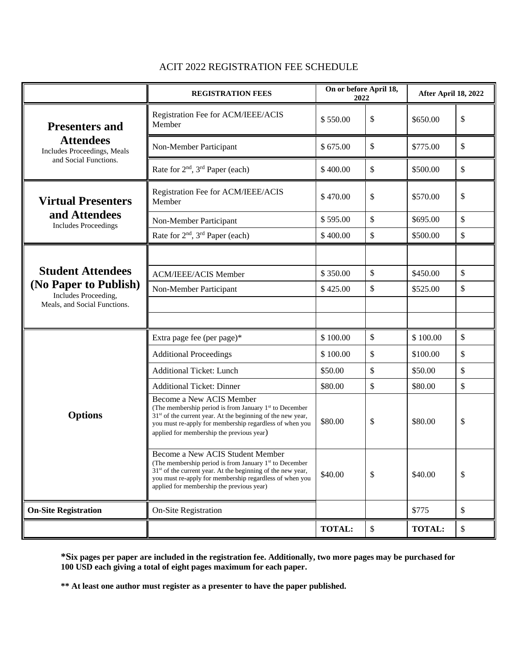|                                                                                                           | <b>REGISTRATION FEES</b>                                                                                                                                                                                                                                                        | On or before April 18,<br>2022 |    | After April 18, 2022 |               |
|-----------------------------------------------------------------------------------------------------------|---------------------------------------------------------------------------------------------------------------------------------------------------------------------------------------------------------------------------------------------------------------------------------|--------------------------------|----|----------------------|---------------|
| <b>Presenters and</b><br><b>Attendees</b><br>Includes Proceedings, Meals<br>and Social Functions.         | Registration Fee for ACM/IEEE/ACIS<br>Member                                                                                                                                                                                                                                    | \$550.00                       | \$ | \$650.00             | \$            |
|                                                                                                           | Non-Member Participant                                                                                                                                                                                                                                                          | \$675.00                       | \$ | \$775.00             | \$            |
|                                                                                                           | Rate for $2nd$ , $3rd$ Paper (each)                                                                                                                                                                                                                                             | \$400.00                       | \$ | \$500.00             | \$            |
| <b>Virtual Presenters</b><br>and Attendees<br><b>Includes Proceedings</b>                                 | Registration Fee for ACM/IEEE/ACIS<br>Member                                                                                                                                                                                                                                    | \$470.00                       | \$ | \$570.00             | \$            |
|                                                                                                           | Non-Member Participant                                                                                                                                                                                                                                                          | \$595.00                       | \$ | \$695.00             | \$            |
|                                                                                                           | Rate for 2 <sup>nd</sup> , 3 <sup>rd</sup> Paper (each)                                                                                                                                                                                                                         | \$400.00                       | \$ | \$500.00             | \$            |
| <b>Student Attendees</b><br>(No Paper to Publish)<br>Includes Proceeding,<br>Meals, and Social Functions. |                                                                                                                                                                                                                                                                                 |                                |    |                      |               |
|                                                                                                           | <b>ACM/IEEE/ACIS Member</b>                                                                                                                                                                                                                                                     | \$350.00                       | \$ | \$450.00             | \$            |
|                                                                                                           | Non-Member Participant                                                                                                                                                                                                                                                          | \$425.00                       | \$ | \$525.00             | \$            |
|                                                                                                           |                                                                                                                                                                                                                                                                                 |                                |    |                      |               |
|                                                                                                           |                                                                                                                                                                                                                                                                                 |                                |    |                      |               |
| <b>Options</b>                                                                                            | Extra page fee (per page)*                                                                                                                                                                                                                                                      | \$100.00                       | \$ | \$100.00             | \$            |
|                                                                                                           | <b>Additional Proceedings</b>                                                                                                                                                                                                                                                   | \$100.00                       | \$ | \$100.00             | \$            |
|                                                                                                           | <b>Additional Ticket: Lunch</b>                                                                                                                                                                                                                                                 | \$50.00                        | \$ | \$50.00              | \$            |
|                                                                                                           | <b>Additional Ticket: Dinner</b>                                                                                                                                                                                                                                                | \$80.00                        | \$ | \$80.00              | $\mathsf{\$}$ |
|                                                                                                           | Become a New ACIS Member<br>(The membership period is from January 1 <sup>st</sup> to December<br>$31st$ of the current year. At the beginning of the new year,<br>you must re-apply for membership regardless of when you<br>applied for membership the previous year)         | \$80.00                        | \$ | \$80.00              | \$            |
|                                                                                                           | Become a New ACIS Student Member<br>(The membership period is from January 1 <sup>st</sup> to December<br>$31st$ of the current year. At the beginning of the new year,<br>you must re-apply for membership regardless of when you<br>applied for membership the previous year) | \$40.00                        | \$ | \$40.00              | \$            |
| <b>On-Site Registration</b>                                                                               | On-Site Registration                                                                                                                                                                                                                                                            |                                |    | \$775                | $\mathcal{S}$ |
|                                                                                                           |                                                                                                                                                                                                                                                                                 | <b>TOTAL:</b>                  | \$ | <b>TOTAL:</b>        | \$            |

# ACIT 2022 REGISTRATION FEE SCHEDULE

**\*Six pages per paper are included in the registration fee. Additionally, two more pages may be purchased for 100 USD each giving a total of eight pages maximum for each paper.**

**\*\* At least one author must register as a presenter to have the paper published.**